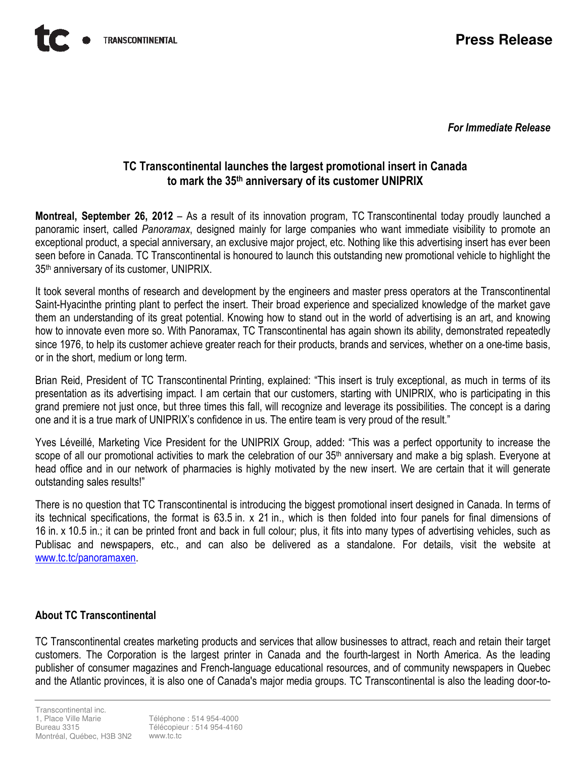For Immediate Release

## TC Transcontinental launches the largest promotional insert in Canada to mark the 35th anniversary of its customer UNIPRIX

Montreal, September 26, 2012 – As a result of its innovation program, TC Transcontinental today proudly launched a panoramic insert, called Panoramax, designed mainly for large companies who want immediate visibility to promote an exceptional product, a special anniversary, an exclusive major project, etc. Nothing like this advertising insert has ever been seen before in Canada. TC Transcontinental is honoured to launch this outstanding new promotional vehicle to highlight the 35th anniversary of its customer, UNIPRIX.

It took several months of research and development by the engineers and master press operators at the Transcontinental Saint-Hyacinthe printing plant to perfect the insert. Their broad experience and specialized knowledge of the market gave them an understanding of its great potential. Knowing how to stand out in the world of advertising is an art, and knowing how to innovate even more so. With Panoramax, TC Transcontinental has again shown its ability, demonstrated repeatedly since 1976, to help its customer achieve greater reach for their products, brands and services, whether on a one-time basis, or in the short, medium or long term.

Brian Reid, President of TC Transcontinental Printing, explained: "This insert is truly exceptional, as much in terms of its presentation as its advertising impact. I am certain that our customers, starting with UNIPRIX, who is participating in this grand premiere not just once, but three times this fall, will recognize and leverage its possibilities. The concept is a daring one and it is a true mark of UNIPRIX's confidence in us. The entire team is very proud of the result."

Yves Léveillé, Marketing Vice President for the UNIPRIX Group, added: "This was a perfect opportunity to increase the scope of all our promotional activities to mark the celebration of our 35<sup>th</sup> anniversary and make a big splash. Everyone at head office and in our network of pharmacies is highly motivated by the new insert. We are certain that it will generate outstanding sales results!"

There is no question that TC Transcontinental is introducing the biggest promotional insert designed in Canada. In terms of its technical specifications, the format is 63.5 in. x 21 in., which is then folded into four panels for final dimensions of 16 in. x 10.5 in.; it can be printed front and back in full colour; plus, it fits into many types of advertising vehicles, such as Publisac and newspapers, etc., and can also be delivered as a standalone. For details, visit the website at www.tc.tc/panoramaxen.

## About TC Transcontinental

TC Transcontinental creates marketing products and services that allow businesses to attract, reach and retain their target customers. The Corporation is the largest printer in Canada and the fourth-largest in North America. As the leading publisher of consumer magazines and French-language educational resources, and of community newspapers in Quebec and the Atlantic provinces, it is also one of Canada's major media groups. TC Transcontinental is also the leading door-to-